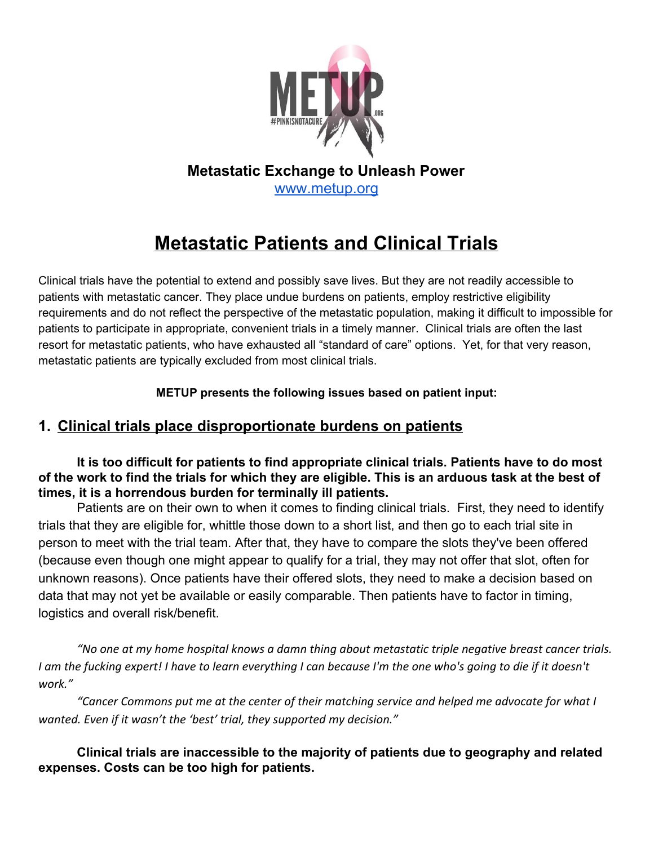

## **Metastatic Exchange to Unleash Power** [www.metup.org](http://www.metup.org/)

# **Metastatic Patients and Clinical Trials**

Clinical trials have the potential to extend and possibly save lives. But they are not readily accessible to patients with metastatic cancer. They place undue burdens on patients, employ restrictive eligibility requirements and do not reflect the perspective of the metastatic population, making it difficult to impossible for patients to participate in appropriate, convenient trials in a timely manner. Clinical trials are often the last resort for metastatic patients, who have exhausted all "standard of care" options. Yet, for that very reason, metastatic patients are typically excluded from most clinical trials.

**METUP presents the following issues based on patient input:**

## **1. Clinical trials place disproportionate burdens on patients**

**It is too difficult for patients to find appropriate clinical trials. Patients have to do most of the work to find the trials for which they are eligible. This is an arduous task at the best of times, it is a horrendous burden for terminally ill patients.**

Patients are on their own to when it comes to finding clinical trials. First, they need to identify trials that they are eligible for, whittle those down to a short list, and then go to each trial site in person to meet with the trial team. After that, they have to compare the slots they've been offered (because even though one might appear to qualify for a trial, they may not offer that slot, often for unknown reasons). Once patients have their offered slots, they need to make a decision based on data that may not yet be available or easily comparable. Then patients have to factor in timing, logistics and overall risk/benefit.

*"No one at my home hospital knows a damn thing about metastatic triple negative breast cancer trials. I am the fucking expert! I have to learn everything I can because I'm the one who's going to die if it doesn't work."*

*"Cancer Commons put me at the center of their matching service and helped me advocate for what I wanted. Even if it wasn't the 'best' trial, they supported my decision."*

**Clinical trials are inaccessible to the majority of patients due to geography and related expenses. Costs can be too high for patients.**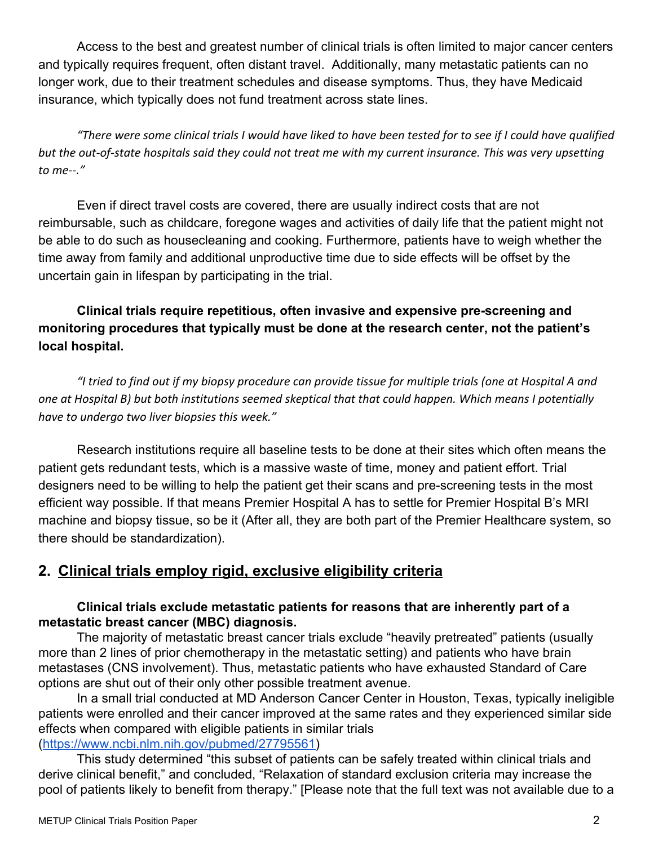Access to the best and greatest number of clinical trials is often limited to major cancer centers and typically requires frequent, often distant travel. Additionally, many metastatic patients can no longer work, due to their treatment schedules and disease symptoms. Thus, they have Medicaid insurance, which typically does not fund treatment across state lines.

*"There were some clinical trials I would have liked to have been tested for to see if I could have qualified but the out-of-state hospitals said they could not treat me with my current insurance. This was very upsetting to me--."*

Even if direct travel costs are covered, there are usually indirect costs that are not reimbursable, such as childcare, foregone wages and activities of daily life that the patient might not be able to do such as housecleaning and cooking. Furthermore, patients have to weigh whether the time away from family and additional unproductive time due to side effects will be offset by the uncertain gain in lifespan by participating in the trial.

## **Clinical trials require repetitious, often invasive and expensive pre-screening and monitoring procedures that typically must be done at the research center, not the patient's local hospital.**

*"I tried to find out if my biopsy procedure can provide tissue for multiple trials (one at Hospital A and one at Hospital B) but both institutions seemed skeptical that that could happen. Which means I potentially have to undergo two liver biopsies this week."*

Research institutions require all baseline tests to be done at their sites which often means the patient gets redundant tests, which is a massive waste of time, money and patient effort. Trial designers need to be willing to help the patient get their scans and pre-screening tests in the most efficient way possible. If that means Premier Hospital A has to settle for Premier Hospital B's MRI machine and biopsy tissue, so be it (After all, they are both part of the Premier Healthcare system, so there should be standardization).

## **2. Clinical trials employ rigid, exclusive eligibility criteria**

#### **Clinical trials exclude metastatic patients for reasons that are inherently part of a metastatic breast cancer (MBC) diagnosis.**

The majority of metastatic breast cancer trials exclude "heavily pretreated" patients (usually more than 2 lines of prior chemotherapy in the metastatic setting) and patients who have brain metastases (CNS involvement). Thus, metastatic patients who have exhausted Standard of Care options are shut out of their only other possible treatment avenue.

In a small trial conducted at MD Anderson Cancer Center in Houston, Texas, typically ineligible patients were enrolled and their cancer improved at the same rates and they experienced similar side effects when compared with eligible patients in similar trials ([https://www.ncbi.nlm.nih.gov/pubmed/27795561\)](https://www.ncbi.nlm.nih.gov/pubmed/27795561)

This study determined "this subset of patients can be safely treated within clinical trials and derive clinical benefit," and concluded, "Relaxation of standard exclusion criteria may increase the pool of patients likely to benefit from therapy." [Please note that the full text was not available due to a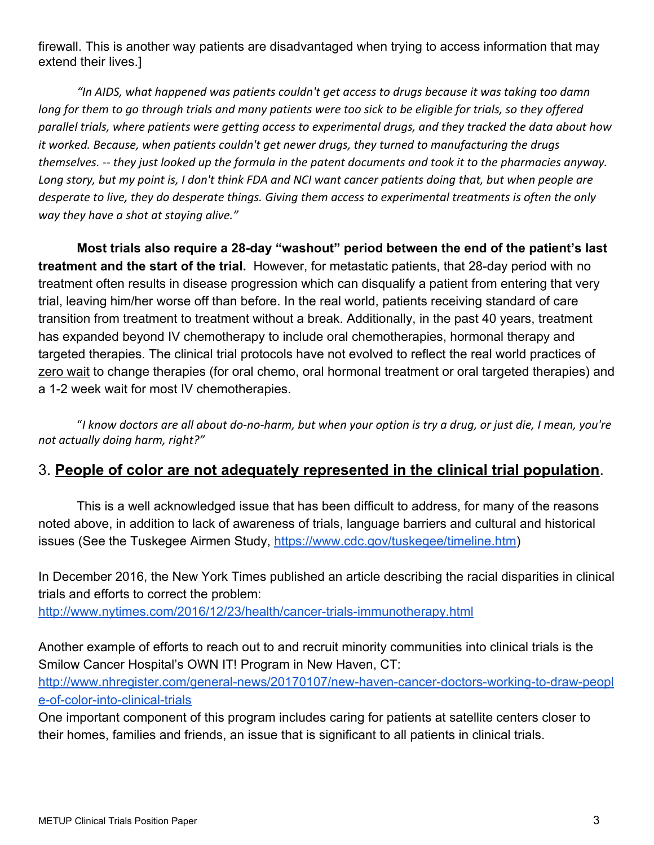firewall. This is another way patients are disadvantaged when trying to access information that may extend their lives.]

*"In AIDS, what happened was patients couldn't get access to drugs because it was taking too damn long for them to go through trials and many patients were too sick to be eligible for trials, so they offered parallel trials, where patients were getting access to experimental drugs, and they tracked the data about how it worked. Because, when patients couldn't get newer drugs, they turned to manufacturing the drugs themselves. -- they just looked up the formula in the patent documents and took it to the pharmacies anyway. Long story, but my point is, I don't think FDA and NCI want cancer patients doing that, but when people are desperate to live, they do desperate things. Giving them access to experimental treatments is often the only way they have a shot at staying alive."*

**Most trials also require a 28-day "washout" period between the end of the patient's last treatment and the start of the trial.**  However, for metastatic patients, that 28-day period with no treatment often results in disease progression which can disqualify a patient from entering that very trial, leaving him/her worse off than before. In the real world, patients receiving standard of care transition from treatment to treatment without a break. Additionally, in the past 40 years, treatment has expanded beyond IV chemotherapy to include oral chemotherapies, hormonal therapy and targeted therapies. The clinical trial protocols have not evolved to reflect the real world practices of zero wait to change therapies (for oral chemo, oral hormonal treatment or oral targeted therapies) and a 1-2 week wait for most IV chemotherapies.

"*I know doctors are all about do-no-harm, but when your option is try a drug, or just die, I mean, you're not actually doing harm, right?"*

## 3. **People of color are not adequately represented in the clinical trial population**.

This is a well acknowledged issue that has been difficult to address, for many of the reasons noted above, in addition to lack of awareness of trials, language barriers and cultural and historical issues (See the Tuskegee Airmen Study, [https://www.cdc.gov/tuskegee/timeline.htm\)](https://www.cdc.gov/tuskegee/timeline.htm)

In December 2016, the New York Times published an article describing the racial disparities in clinical trials and efforts to correct the problem:

<http://www.nytimes.com/2016/12/23/health/cancer-trials-immunotherapy.html>

Another example of efforts to reach out to and recruit minority communities into clinical trials is the Smilow Cancer Hospital's OWN IT! Program in New Haven, CT:

[http://www.nhregister.com/general-news/20170107/new-haven-cancer-doctors-working-to-draw-peopl](http://www.nhregister.com/general-news/20170107/new-haven-cancer-doctors-working-to-draw-people-of-color-into-clinical-trials) [e-of-color-into-clinical-trials](http://www.nhregister.com/general-news/20170107/new-haven-cancer-doctors-working-to-draw-people-of-color-into-clinical-trials)

One important component of this program includes caring for patients at satellite centers closer to their homes, families and friends, an issue that is significant to all patients in clinical trials.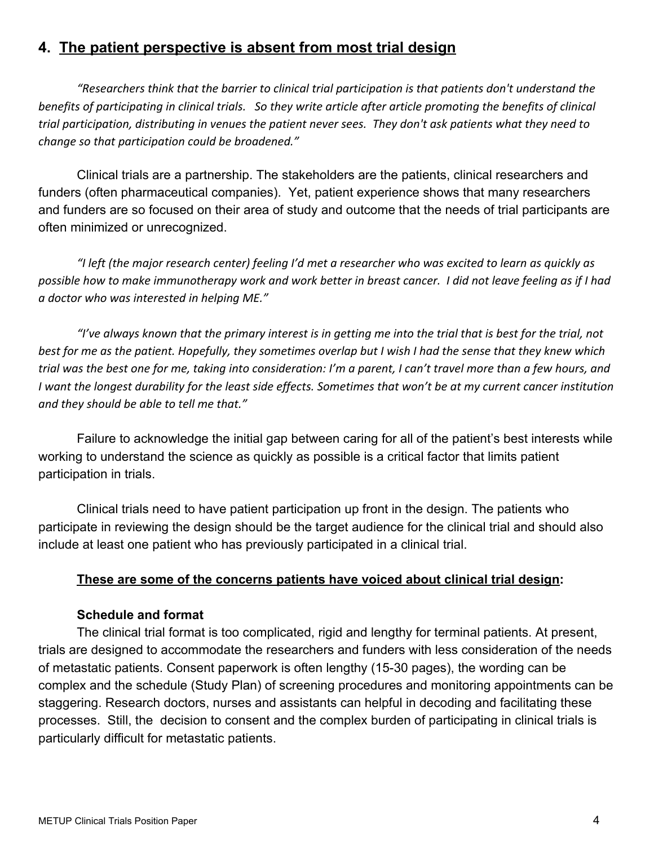## **4. The patient perspective is absent from most trial design**

*"Researchers think that the barrier to clinical trial participation is that patients don't understand the benefits of participating in clinical trials. So they write article after article promoting the benefits of clinical trial participation, distributing in venues the patient never sees. They don't ask patients what they need to change so that participation could be broadened."*

Clinical trials are a partnership. The stakeholders are the patients, clinical researchers and funders (often pharmaceutical companies). Yet, patient experience shows that many researchers and funders are so focused on their area of study and outcome that the needs of trial participants are often minimized or unrecognized.

*"I left (the major research center) feeling I'd met a researcher who was excited to learn as quickly as possible how to make immunotherapy work and work better in breast cancer. I did not leave feeling as if I had a doctor who was interested in helping ME."*

*"I've always known that the primary interest is in getting me into the trial that is best for the trial, not best for me as the patient. Hopefully, they sometimes overlap but I wish I had the sense that they knew which trial was the best one for me, taking into consideration: I'm a parent, I can't travel more than a few hours, and I want the longest durability for the least side effects. Sometimes that won't be at my current cancer institution and they should be able to tell me that."*

Failure to acknowledge the initial gap between caring for all of the patient's best interests while working to understand the science as quickly as possible is a critical factor that limits patient participation in trials.

Clinical trials need to have patient participation up front in the design. The patients who participate in reviewing the design should be the target audience for the clinical trial and should also include at least one patient who has previously participated in a clinical trial.

#### **These are some of the concerns patients have voiced about clinical trial design:**

#### **Schedule and format**

The clinical trial format is too complicated, rigid and lengthy for terminal patients. At present, trials are designed to accommodate the researchers and funders with less consideration of the needs of metastatic patients. Consent paperwork is often lengthy (15-30 pages), the wording can be complex and the schedule (Study Plan) of screening procedures and monitoring appointments can be staggering. Research doctors, nurses and assistants can helpful in decoding and facilitating these processes. Still, the decision to consent and the complex burden of participating in clinical trials is particularly difficult for metastatic patients.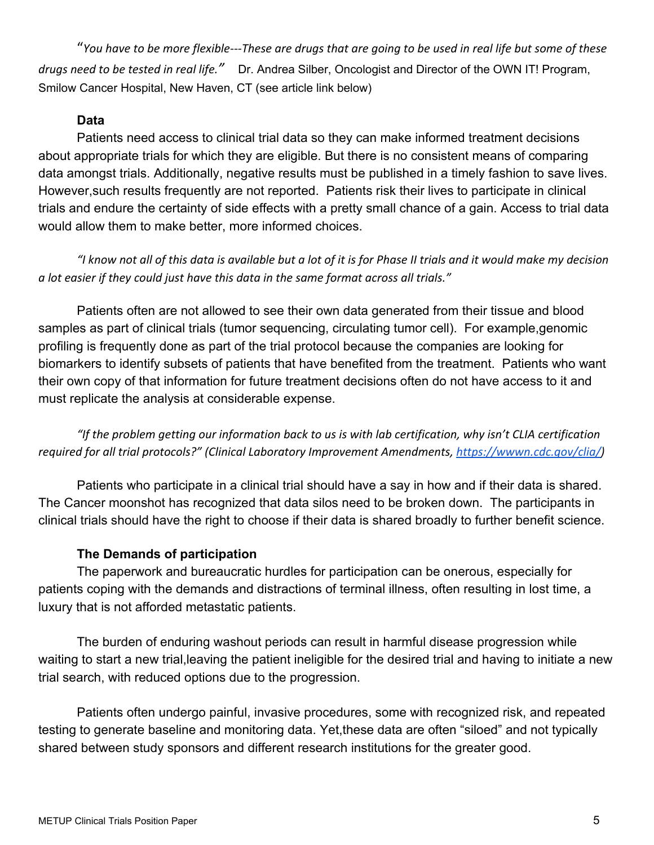"*You have to be more flexible---These are drugs that are going to be used in real life but some of these drugs need to be tested in real life."* Dr. Andrea Silber, Oncologist and Director of the OWN IT! Program, Smilow Cancer Hospital, New Haven, CT (see article link below)

#### **Data**

Patients need access to clinical trial data so they can make informed treatment decisions about appropriate trials for which they are eligible. But there is no consistent means of comparing data amongst trials. Additionally, negative results must be published in a timely fashion to save lives. However,such results frequently are not reported. Patients risk their lives to participate in clinical trials and endure the certainty of side effects with a pretty small chance of a gain. Access to trial data would allow them to make better, more informed choices.

*"I know not all of this data is available but a lot of it is for Phase II trials and it would make my decision a lot easier if they could just have this data in the same format across all trials."*

Patients often are not allowed to see their own data generated from their tissue and blood samples as part of clinical trials (tumor sequencing, circulating tumor cell). For example,genomic profiling is frequently done as part of the trial protocol because the companies are looking for biomarkers to identify subsets of patients that have benefited from the treatment. Patients who want their own copy of that information for future treatment decisions often do not have access to it and must replicate the analysis at considerable expense.

*"If the problem getting our information back to us is with lab certification, why isn't CLIA certification required for all trial protocols?" (Clinical Laboratory Improvement Amendments, [https://wwwn.cdc.gov/clia/\)](https://wwwn.cdc.gov/clia/)*

Patients who participate in a clinical trial should have a say in how and if their data is shared. The Cancer moonshot has recognized that data silos need to be broken down. The participants in clinical trials should have the right to choose if their data is shared broadly to further benefit science.

#### **The Demands of participation**

The paperwork and bureaucratic hurdles for participation can be onerous, especially for patients coping with the demands and distractions of terminal illness, often resulting in lost time, a luxury that is not afforded metastatic patients.

The burden of enduring washout periods can result in harmful disease progression while waiting to start a new trial,leaving the patient ineligible for the desired trial and having to initiate a new trial search, with reduced options due to the progression.

Patients often undergo painful, invasive procedures, some with recognized risk, and repeated testing to generate baseline and monitoring data. Yet,these data are often "siloed" and not typically shared between study sponsors and different research institutions for the greater good.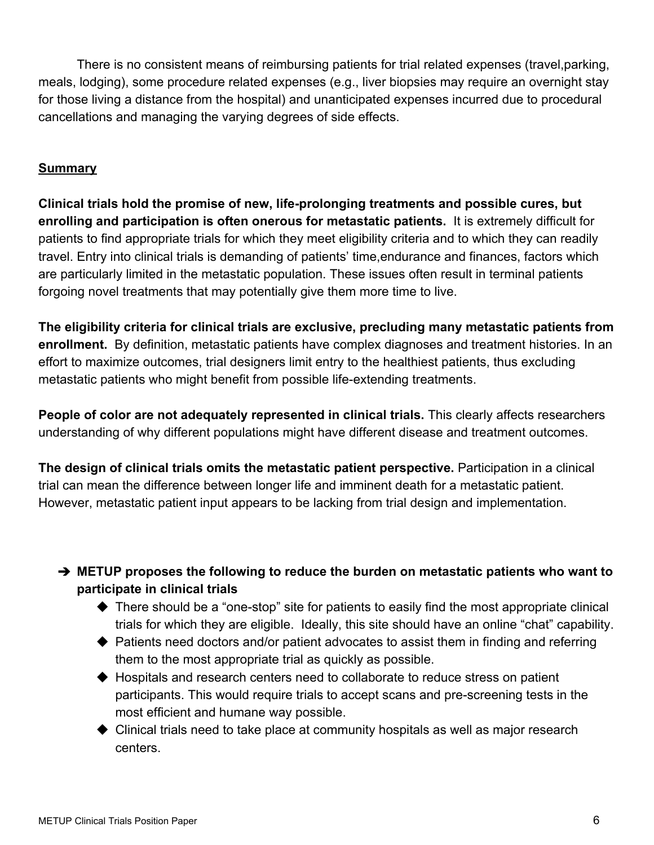There is no consistent means of reimbursing patients for trial related expenses (travel,parking, meals, lodging), some procedure related expenses (e.g., liver biopsies may require an overnight stay for those living a distance from the hospital) and unanticipated expenses incurred due to procedural cancellations and managing the varying degrees of side effects.

#### **Summary**

**Clinical trials hold the promise of new, life-prolonging treatments and possible cures, but enrolling and participation is often onerous for metastatic patients.** It is extremely difficult for patients to find appropriate trials for which they meet eligibility criteria and to which they can readily travel. Entry into clinical trials is demanding of patients' time,endurance and finances, factors which are particularly limited in the metastatic population. These issues often result in terminal patients forgoing novel treatments that may potentially give them more time to live.

**The eligibility criteria for clinical trials are exclusive, precluding many metastatic patients from enrollment.** By definition, metastatic patients have complex diagnoses and treatment histories. In an effort to maximize outcomes, trial designers limit entry to the healthiest patients, thus excluding metastatic patients who might benefit from possible life-extending treatments.

**People of color are not adequately represented in clinical trials.** This clearly affects researchers understanding of why different populations might have different disease and treatment outcomes.

**The design of clinical trials omits the metastatic patient perspective.** Participation in a clinical trial can mean the difference between longer life and imminent death for a metastatic patient. However, metastatic patient input appears to be lacking from trial design and implementation.

## ➔ **METUP proposes the following to reduce the burden on metastatic patients who want to participate in clinical trials**

- $\blacklozenge$  There should be a "one-stop" site for patients to easily find the most appropriate clinical trials for which they are eligible. Ideally, this site should have an online "chat" capability.
- ◆ Patients need doctors and/or patient advocates to assist them in finding and referring them to the most appropriate trial as quickly as possible.
- ◆ Hospitals and research centers need to collaborate to reduce stress on patient participants. This would require trials to accept scans and pre-screening tests in the most efficient and humane way possible.
- ◆ Clinical trials need to take place at community hospitals as well as major research centers.